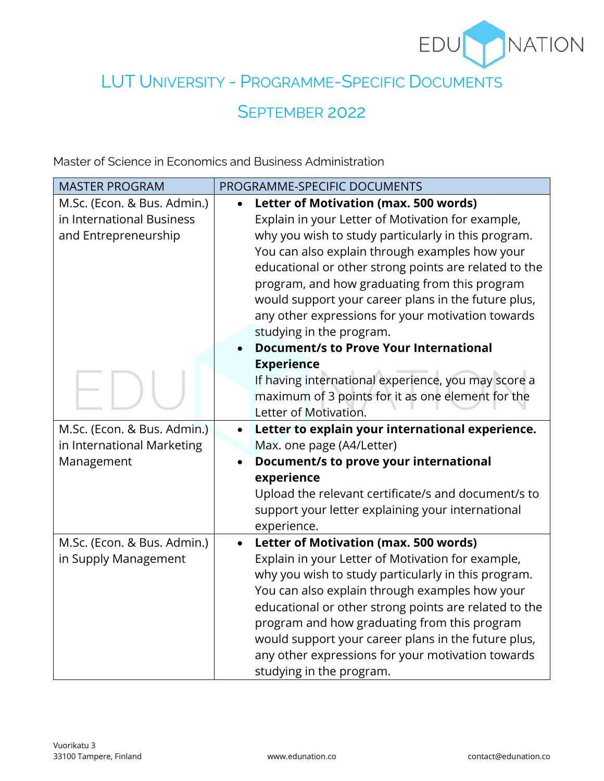

## LUT UNIVERSITY - PROGRAMME-SPECIFIC DOCUMENTS

## SEPTEMBER 2022

Master of Science in Economics and Business Administration

| <b>MASTER PROGRAM</b>                                                            | PROGRAMME-SPECIFIC DOCUMENTS                                                                                                                                                                                                                                                                                                                                                                                                                                             |
|----------------------------------------------------------------------------------|--------------------------------------------------------------------------------------------------------------------------------------------------------------------------------------------------------------------------------------------------------------------------------------------------------------------------------------------------------------------------------------------------------------------------------------------------------------------------|
| M.Sc. (Econ. & Bus. Admin.)<br>in International Business<br>and Entrepreneurship | Letter of Motivation (max. 500 words)<br>$\bullet$<br>Explain in your Letter of Motivation for example,<br>why you wish to study particularly in this program.<br>You can also explain through examples how your<br>educational or other strong points are related to the<br>program, and how graduating from this program<br>would support your career plans in the future plus,<br>any other expressions for your motivation towards                                   |
|                                                                                  | studying in the program.<br><b>Document/s to Prove Your International</b><br><b>Experience</b><br>If having international experience, you may score a<br>maximum of 3 points for it as one element for the<br>Letter of Motivation.                                                                                                                                                                                                                                      |
| M.Sc. (Econ. & Bus. Admin.)<br>in International Marketing<br>Management          | Letter to explain your international experience.<br>$\bullet$<br>Max. one page (A4/Letter)<br>Document/s to prove your international<br>experience<br>Upload the relevant certificate/s and document/s to<br>support your letter explaining your international<br>experience.                                                                                                                                                                                            |
| M.Sc. (Econ. & Bus. Admin.)<br>in Supply Management                              | <b>Letter of Motivation (max. 500 words)</b><br>$\bullet$<br>Explain in your Letter of Motivation for example,<br>why you wish to study particularly in this program.<br>You can also explain through examples how your<br>educational or other strong points are related to the<br>program and how graduating from this program<br>would support your career plans in the future plus,<br>any other expressions for your motivation towards<br>studying in the program. |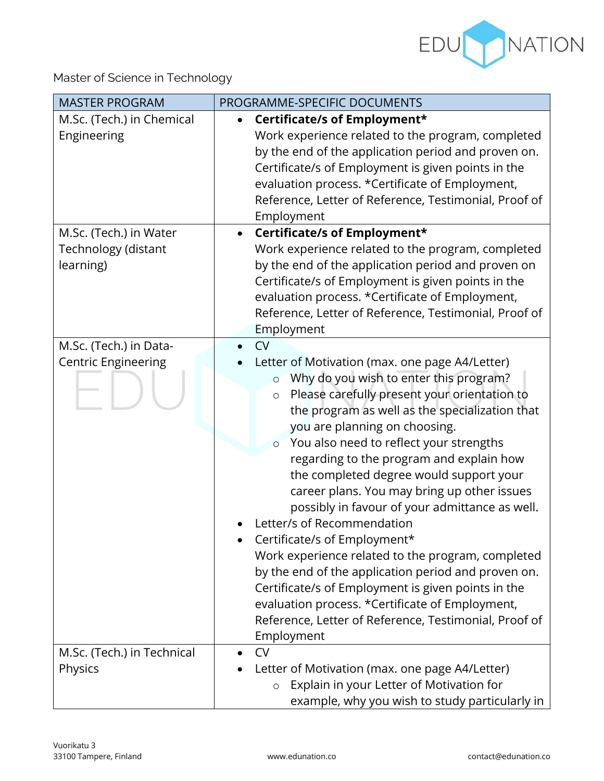

Master of Science in Technology

| <b>MASTER PROGRAM</b>                                                                                  | PROGRAMME-SPECIFIC DOCUMENTS                                                                                                                                                                                                                                                                                                                                                                                                                                                                                                                                                                                                                                                                                                                                                                                                                                           |
|--------------------------------------------------------------------------------------------------------|------------------------------------------------------------------------------------------------------------------------------------------------------------------------------------------------------------------------------------------------------------------------------------------------------------------------------------------------------------------------------------------------------------------------------------------------------------------------------------------------------------------------------------------------------------------------------------------------------------------------------------------------------------------------------------------------------------------------------------------------------------------------------------------------------------------------------------------------------------------------|
| M.Sc. (Tech.) in Chemical<br>Engineering<br>M.Sc. (Tech.) in Water<br>Technology (distant<br>learning) | Certificate/s of Employment*<br>Work experience related to the program, completed<br>by the end of the application period and proven on.<br>Certificate/s of Employment is given points in the<br>evaluation process. *Certificate of Employment,<br>Reference, Letter of Reference, Testimonial, Proof of<br>Employment<br>Certificate/s of Employment*<br>Work experience related to the program, completed<br>by the end of the application period and proven on<br>Certificate/s of Employment is given points in the<br>evaluation process. *Certificate of Employment,<br>Reference, Letter of Reference, Testimonial, Proof of<br>Employment                                                                                                                                                                                                                    |
| M.Sc. (Tech.) in Data-<br><b>Centric Engineering</b>                                                   | <b>CV</b><br>Letter of Motivation (max. one page A4/Letter)<br>Why do you wish to enter this program?<br>$\circ$<br>Please carefully present your orientation to<br>$\circ$<br>the program as well as the specialization that<br>you are planning on choosing.<br>You also need to reflect your strengths<br>$\circ$<br>regarding to the program and explain how<br>the completed degree would support your<br>career plans. You may bring up other issues<br>possibly in favour of your admittance as well.<br>Letter/s of Recommendation<br>Certificate/s of Employment*<br>Work experience related to the program, completed<br>by the end of the application period and proven on.<br>Certificate/s of Employment is given points in the<br>evaluation process. *Certificate of Employment,<br>Reference, Letter of Reference, Testimonial, Proof of<br>Employment |
| M.Sc. (Tech.) in Technical<br>Physics                                                                  | <b>CV</b><br>Letter of Motivation (max. one page A4/Letter)<br>Explain in your Letter of Motivation for<br>$\circ$<br>example, why you wish to study particularly in                                                                                                                                                                                                                                                                                                                                                                                                                                                                                                                                                                                                                                                                                                   |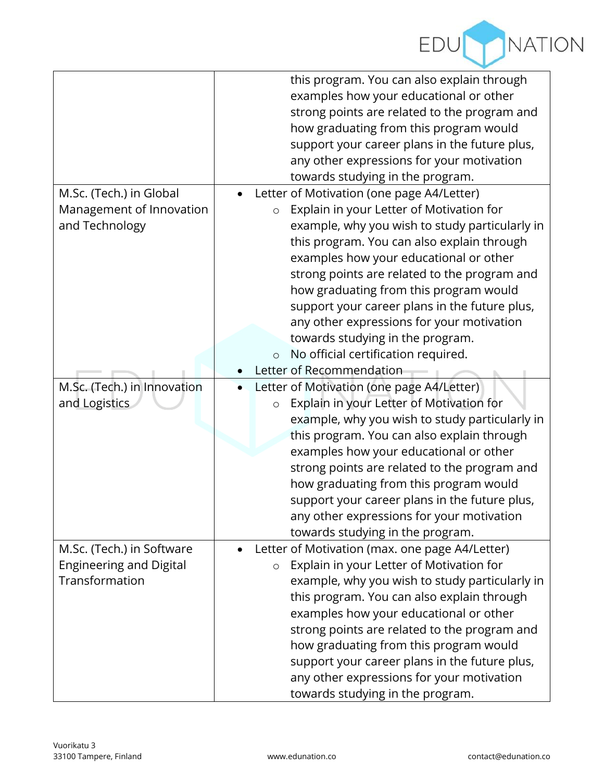

|                                | this program. You can also explain through<br>examples how your educational or other<br>strong points are related to the program and<br>how graduating from this program would<br>support your career plans in the future plus,<br>any other expressions for your motivation |
|--------------------------------|------------------------------------------------------------------------------------------------------------------------------------------------------------------------------------------------------------------------------------------------------------------------------|
|                                | towards studying in the program.                                                                                                                                                                                                                                             |
| M.Sc. (Tech.) in Global        | Letter of Motivation (one page A4/Letter)                                                                                                                                                                                                                                    |
| Management of Innovation       | Explain in your Letter of Motivation for<br>$\circ$                                                                                                                                                                                                                          |
| and Technology                 | example, why you wish to study particularly in                                                                                                                                                                                                                               |
|                                | this program. You can also explain through                                                                                                                                                                                                                                   |
|                                | examples how your educational or other                                                                                                                                                                                                                                       |
|                                | strong points are related to the program and                                                                                                                                                                                                                                 |
|                                | how graduating from this program would<br>support your career plans in the future plus,                                                                                                                                                                                      |
|                                | any other expressions for your motivation                                                                                                                                                                                                                                    |
|                                | towards studying in the program.                                                                                                                                                                                                                                             |
|                                | No official certification required.<br>$\circ$                                                                                                                                                                                                                               |
|                                | Letter of Recommendation                                                                                                                                                                                                                                                     |
| M.Sc. (Tech.) in Innovation    | Letter of Motivation (one page A4/Letter)                                                                                                                                                                                                                                    |
| and Logistics                  | Explain in your Letter of Motivation for<br>$\circ$                                                                                                                                                                                                                          |
|                                | example, why you wish to study particularly in                                                                                                                                                                                                                               |
|                                | this program. You can also explain through                                                                                                                                                                                                                                   |
|                                | examples how your educational or other                                                                                                                                                                                                                                       |
|                                | strong points are related to the program and                                                                                                                                                                                                                                 |
|                                | how graduating from this program would                                                                                                                                                                                                                                       |
|                                | support your career plans in the future plus,                                                                                                                                                                                                                                |
|                                | any other expressions for your motivation                                                                                                                                                                                                                                    |
|                                | towards studying in the program.                                                                                                                                                                                                                                             |
| M.Sc. (Tech.) in Software      | Letter of Motivation (max. one page A4/Letter)                                                                                                                                                                                                                               |
| <b>Engineering and Digital</b> | Explain in your Letter of Motivation for<br>$\circ$                                                                                                                                                                                                                          |
| Transformation                 | example, why you wish to study particularly in                                                                                                                                                                                                                               |
|                                | this program. You can also explain through                                                                                                                                                                                                                                   |
|                                | examples how your educational or other                                                                                                                                                                                                                                       |
|                                | strong points are related to the program and                                                                                                                                                                                                                                 |
|                                | how graduating from this program would                                                                                                                                                                                                                                       |
|                                | support your career plans in the future plus,                                                                                                                                                                                                                                |
|                                | any other expressions for your motivation                                                                                                                                                                                                                                    |
|                                | towards studying in the program.                                                                                                                                                                                                                                             |